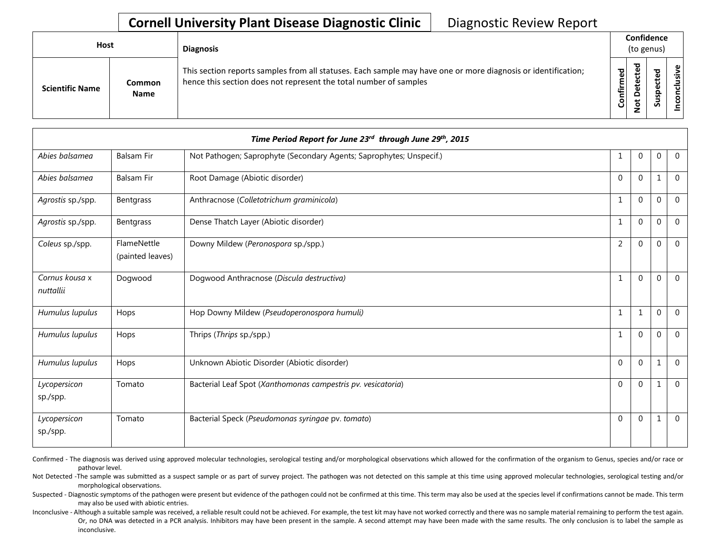## **Cornell University Plant Disease Diagnostic Clinic** | Diagnostic Review Report

| Host                   |                              | <b>Diagnosis</b>                                                                                                                                                                   |                  | Confidence<br>(to genus)                  |                                        |                                              |
|------------------------|------------------------------|------------------------------------------------------------------------------------------------------------------------------------------------------------------------------------|------------------|-------------------------------------------|----------------------------------------|----------------------------------------------|
| <b>Scientific Name</b> | <b>Common</b><br><b>Name</b> | This section reports samples from all statuses. Each sample may have one or more diagnosis or identification;<br>hence this section does not represent the total number of samples | 명<br>℡<br>o<br>O | ъ<br>ω<br>ں<br>Φ<br>ω<br>۵<br>ى<br>Ö<br>– | ਠ<br>Φ<br>ပ<br>Φ<br>요<br><b>S</b><br>S | $\mathbf \omega$<br><b>S</b><br>$\circ$<br>Ō |

| Time Period Report for June 23rd through June 29th, 2015 |                                 |                                                                     |                |                |              |                |  |  |
|----------------------------------------------------------|---------------------------------|---------------------------------------------------------------------|----------------|----------------|--------------|----------------|--|--|
| Abies balsamea                                           | <b>Balsam Fir</b>               | Not Pathogen; Saprophyte (Secondary Agents; Saprophytes; Unspecif.) | 1              | 0              | 0            | $\mathbf 0$    |  |  |
| Abies balsamea                                           | <b>Balsam Fir</b>               | Root Damage (Abiotic disorder)                                      | $\Omega$       | $\Omega$       | $\mathbf{1}$ | $\Omega$       |  |  |
| Agrostis sp./spp.                                        | Bentgrass                       | Anthracnose (Colletotrichum graminicola)                            | 1              | $\Omega$       | $\Omega$     | $\mathbf{0}$   |  |  |
| Agrostis sp./spp.                                        | Bentgrass                       | Dense Thatch Layer (Abiotic disorder)                               | 1              | $\mathbf 0$    | $\mathbf 0$  | $\mathbf{0}$   |  |  |
| Coleus sp./spp.                                          | FlameNettle<br>(painted leaves) | Downy Mildew (Peronospora sp./spp.)                                 | $\overline{2}$ | $\Omega$       | $\theta$     | $\Omega$       |  |  |
| Cornus kousa x<br>nuttallii                              | Dogwood                         | Dogwood Anthracnose (Discula destructiva)                           |                | $\mathbf{0}$   | $\Omega$     | $\mathbf{0}$   |  |  |
| Humulus lupulus                                          | Hops                            | Hop Downy Mildew (Pseudoperonospora humuli)                         | 1              | 1              | $\mathbf 0$  | $\mathbf{0}$   |  |  |
| Humulus lupulus                                          | Hops                            | Thrips (Thrips sp./spp.)                                            | 1              | $\mathbf{0}$   | $\mathbf 0$  | $\theta$       |  |  |
| Humulus lupulus                                          | Hops                            | Unknown Abiotic Disorder (Abiotic disorder)                         | $\Omega$       | $\overline{0}$ | 1            | $\overline{0}$ |  |  |
| Lycopersicon<br>sp./spp.                                 | Tomato                          | Bacterial Leaf Spot (Xanthomonas campestris pv. vesicatoria)        | $\Omega$       | $\mathbf 0$    | 1            | $\mathbf 0$    |  |  |
| Lycopersicon<br>sp./spp.                                 | Tomato                          | Bacterial Speck (Pseudomonas syringae pv. tomato)                   | $\Omega$       | $\mathbf{0}$   | 1            | $\mathbf 0$    |  |  |

Confirmed - The diagnosis was derived using approved molecular technologies, serological testing and/or morphological observations which allowed for the confirmation of the organism to Genus, species and/or race or pathovar level.

Not Detected -The sample was submitted as a suspect sample or as part of survey project. The pathogen was not detected on this sample at this time using approved molecular technologies, serological testing and/or morphological observations.

Suspected - Diagnostic symptoms of the pathogen were present but evidence of the pathogen could not be confirmed at this time. This term may also be used at the species level if confirmations cannot be made. This term may also be used with abiotic entries.

Inconclusive - Although a suitable sample was received, a reliable result could not be achieved. For example, the test kit may have not worked correctly and there was no sample material remaining to perform the test again. Or, no DNA was detected in a PCR analysis. Inhibitors may have been present in the sample. A second attempt may have been made with the same results. The only conclusion is to label the sample as inconclusive.